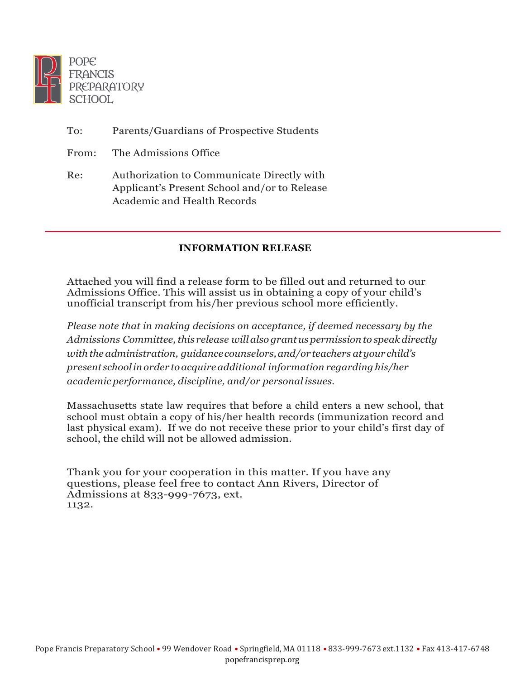

| To:   | Parents/Guardians of Prospective Students                                                                                        |
|-------|----------------------------------------------------------------------------------------------------------------------------------|
| From: | The Admissions Office                                                                                                            |
| Re:   | Authorization to Communicate Directly with<br>Applicant's Present School and/or to Release<br><b>Academic and Health Records</b> |

## **INFORMATION RELEASE**

Attached you will find a release form to be filled out and returned to our Admissions Office. This will assist us in obtaining a copy of your child's unofficial transcript from his/her previous school more efficiently.

*Please note that in making decisions on acceptance, if deemed necessary by the Admissions Committee, this release will also grantus permission to speak directly with the administration, guidancecounselors,and/or teachers atyour child's present schoolinorder toacquireadditional information regarding his/her academic performance, discipline, and/or personalissues.*

Massachusetts state law requires that before a child enters a new school, that school must obtain a copy of his/her health records (immunization record and last physical exam). If we do not receive these prior to your child's first day of school, the child will not be allowed admission.

Thank you for your cooperation in this matter. If you have any questions, please feel free to contact Ann Rivers, Director of Admissions at 833-999-7673, ext. 1132.